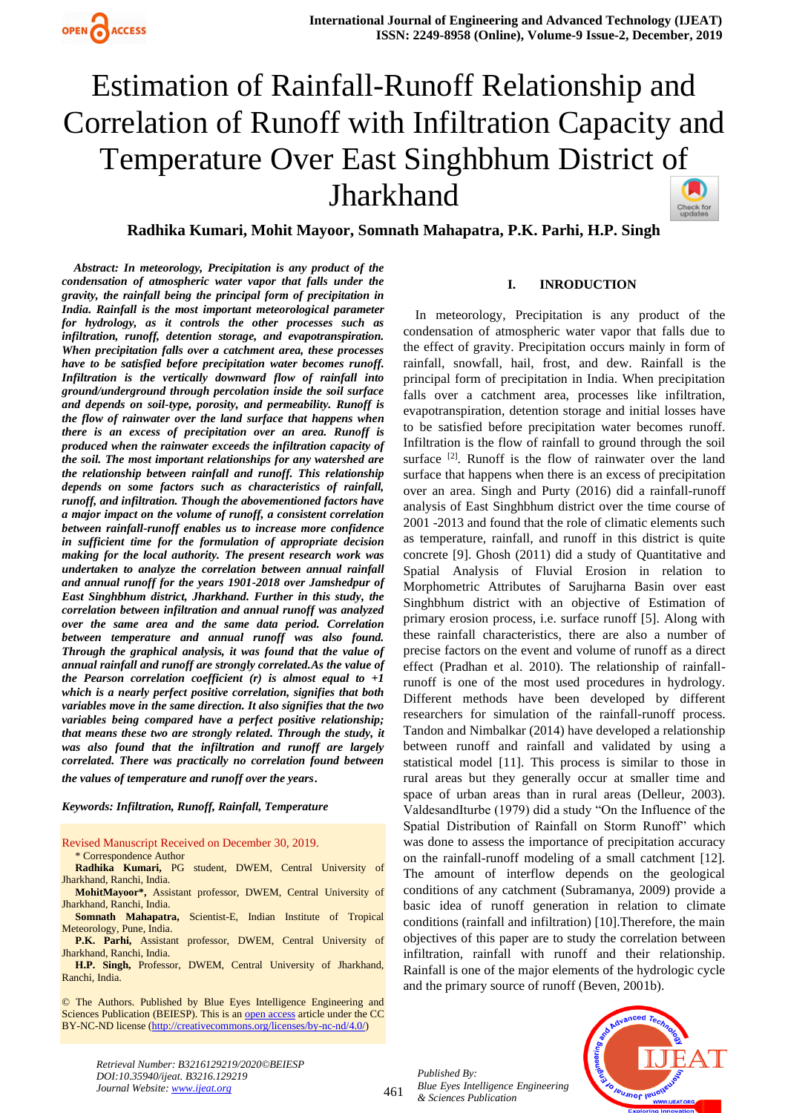# Estimation of Rainfall-Runoff Relationship and Correlation of Runoff with Infiltration Capacity and Temperature Over East Singhbhum District of Jharkhand Check for<br>updates

**Radhika Kumari, Mohit Mayoor, Somnath Mahapatra, P.K. Parhi, H.P. Singh**

 *Abstract: In meteorology, Precipitation is any product of the condensation of atmospheric water vapor that falls under the gravity, the rainfall being the principal form of precipitation in India. Rainfall is the most important meteorological parameter for hydrology, as it controls the other processes such as infiltration, runoff, detention storage, and evapotranspiration. When precipitation falls over a catchment area, these processes have to be satisfied before precipitation water becomes runoff. Infiltration is the vertically downward flow of rainfall into ground/underground through percolation inside the soil surface and depends on soil-type, porosity, and permeability. Runoff is the flow of rainwater over the land surface that happens when there is an excess of precipitation over an area. Runoff is produced when the rainwater exceeds the infiltration capacity of the soil. The most important relationships for any watershed are the relationship between rainfall and runoff. This relationship depends on some factors such as characteristics of rainfall, runoff, and infiltration. Though the abovementioned factors have a major impact on the volume of runoff, a consistent correlation between rainfall-runoff enables us to increase more confidence in sufficient time for the formulation of appropriate decision making for the local authority. The present research work was undertaken to analyze the correlation between annual rainfall and annual runoff for the years 1901-2018 over Jamshedpur of East Singhbhum district, Jharkhand. Further in this study, the correlation between infiltration and annual runoff was analyzed over the same area and the same data period. Correlation between temperature and annual runoff was also found. Through the graphical analysis, it was found that the value of annual rainfall and runoff are strongly correlated.As the value of the Pearson correlation coefficient (r) is almost equal to +1 which is a nearly perfect positive correlation, signifies that both variables move in the same direction. It also signifies that the two variables being compared have a perfect positive relationship; that means these two are strongly related. Through the study, it was also found that the infiltration and runoff are largely correlated. There was practically no correlation found between* 

*the values of temperature and runoff over the years*.

*Keywords: Infiltration, Runoff, Rainfall, Temperature*

Revised Manuscript Received on December 30, 2019.

\* Correspondence Author

**Radhika Kumari,** PG student, DWEM, Central University of Jharkhand, Ranchi, India.

**MohitMayoor\*,** Assistant professor, DWEM, Central University of Jharkhand, Ranchi, India.

**Somnath Mahapatra,** Scientist-E, Indian Institute of Tropical Meteorology, Pune, India.

**P.K. Parhi,** Assistant professor, DWEM, Central University of Jharkhand, Ranchi, India.

**H.P. Singh,** Professor, DWEM, Central University of Jharkhand, Ranchi, India.

© The Authors. Published by Blue Eyes Intelligence Engineering and Sciences Publication (BEIESP). This is a[n open access](https://www.openaccess.nl/en/open-publications) article under the CC BY-NC-ND license [\(http://creativecommons.org/licenses/by-nc-nd/4.0/\)](http://creativecommons.org/licenses/by-nc-nd/4.0/)

### **I. INRODUCTION**

In meteorology, Precipitation is any product of the condensation of atmospheric water vapor that falls due to the effect of gravity. Precipitation occurs mainly in form of rainfall, snowfall, hail, frost, and dew. Rainfall is the principal form of precipitation in India. When precipitation falls over a catchment area, processes like infiltration, evapotranspiration, detention storage and initial losses have to be satisfied before precipitation water becomes runoff. Infiltration is the flow of rainfall to ground through the soil surface [2]. Runoff is the flow of rainwater over the land surface that happens when there is an excess of precipitation over an area. Singh and Purty (2016) did a rainfall-runoff analysis of East Singhbhum district over the time course of 2001 -2013 and found that the role of climatic elements such as temperature, rainfall, and runoff in this district is quite concrete [9]. Ghosh (2011) did a study of Quantitative and Spatial Analysis of Fluvial Erosion in relation to Morphometric Attributes of Sarujharna Basin over east Singhbhum district with an objective of Estimation of primary erosion process, i.e. surface runoff [5]. Along with these rainfall characteristics, there are also a number of precise factors on the event and volume of runoff as a direct effect (Pradhan et al. 2010). The relationship of rainfallrunoff is one of the most used procedures in hydrology. Different methods have been developed by different researchers for simulation of the rainfall-runoff process. Tandon and Nimbalkar (2014) have developed a relationship between runoff and rainfall and validated by using a statistical model [11]. This process is similar to those in rural areas but they generally occur at smaller time and space of urban areas than in rural areas (Delleur, 2003). ValdesandIturbe (1979) did a study "On the Influence of the Spatial Distribution of Rainfall on Storm Runoff" which was done to assess the importance of precipitation accuracy on the rainfall-runoff modeling of a small catchment [12]. The amount of interflow depends on the geological conditions of any catchment (Subramanya, 2009) provide a basic idea of runoff generation in relation to climate conditions (rainfall and infiltration) [10].Therefore, the main objectives of this paper are to study the correlation between infiltration, rainfall with runoff and their relationship. Rainfall is one of the major elements of the hydrologic cycle and the primary source of runoff (Beven, 2001b).

461 *Published By: Blue Eyes Intelligence Engineering & Sciences Publication* 



*Retrieval Number: B3216129219/2020©BEIESP DOI:10.35940/ijeat. B3216.129219 Journal Website[: www.ijeat.org](http://www.ijeat.org/)*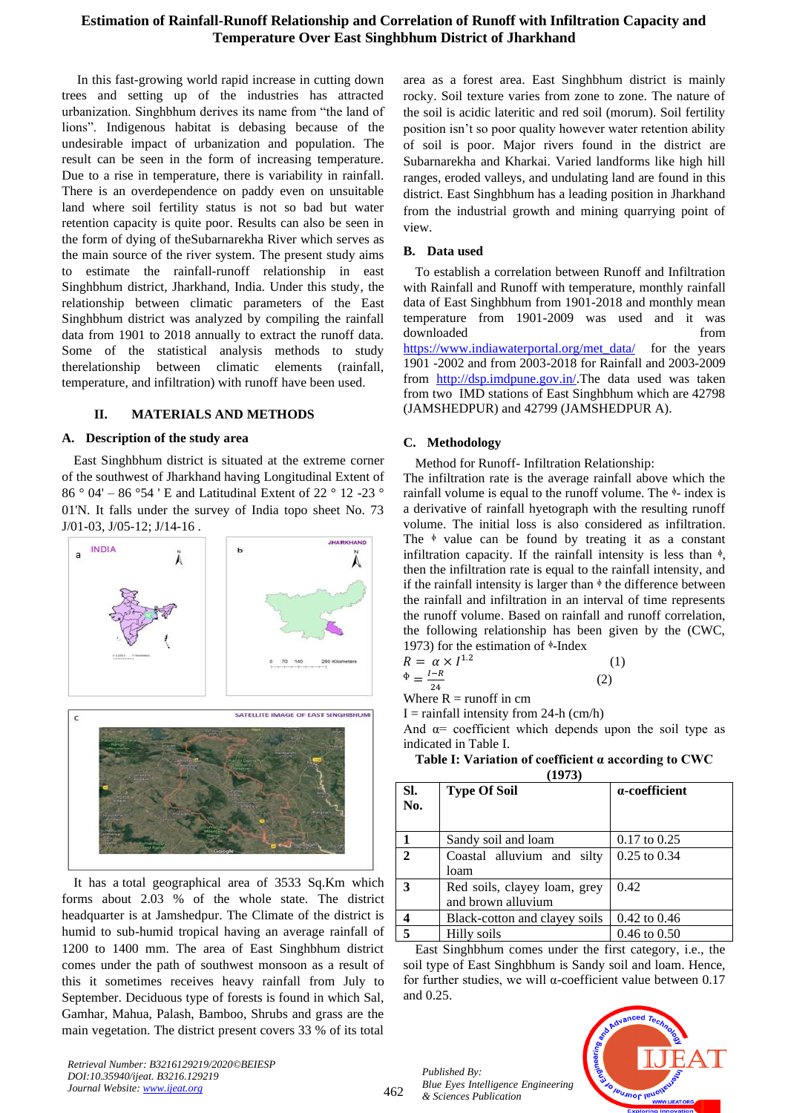## **Estimation of Rainfall-Runoff Relationship and Correlation of Runoff with Infiltration Capacity and Temperature Over East Singhbhum District of Jharkhand**

In this fast-growing world rapid increase in cutting down trees and setting up of the industries has attracted urbanization. Singhbhum derives its name from "the land of lions". Indigenous habitat is debasing because of the undesirable impact of urbanization and population. The result can be seen in the form of increasing temperature. Due to a rise in temperature, there is variability in rainfall. There is an overdependence on paddy even on unsuitable land where soil fertility status is not so bad but water retention capacity is quite poor. Results can also be seen in the form of dying of theSubarnarekha River which serves as the main source of the river system. The present study aims to estimate the rainfall-runoff relationship in east Singhbhum district, Jharkhand, India. Under this study, the relationship between climatic parameters of the East Singhbhum district was analyzed by compiling the rainfall data from 1901 to 2018 annually to extract the runoff data. Some of the statistical analysis methods to study therelationship between climatic elements (rainfall, temperature, and infiltration) with runoff have been used.

## **II. MATERIALS AND METHODS**

### **A. Description of the study area**

East Singhbhum district is situated at the extreme corner of the southwest of Jharkhand having Longitudinal Extent of 86 ° 04' – 86 °54 ' E and Latitudinal Extent of 22 ° 12 -23 ° 01'N. It falls under the survey of India topo sheet No. 73 J/01-03, J/05-12; J/14-16 .



It has a total geographical area of 3533 Sq.Km which forms about 2.03 % of the whole state. The district headquarter is at Jamshedpur. The Climate of the district is humid to sub-humid tropical having an average rainfall of 1200 to 1400 mm. The area of East Singhbhum district comes under the path of southwest monsoon as a result of this it sometimes receives heavy rainfall from July to September. Deciduous type of forests is found in which Sal, Gamhar, Mahua, Palash, Bamboo, Shrubs and grass are the main vegetation. The district present covers 33 % of its total

area as a forest area. East Singhbhum district is mainly rocky. Soil texture varies from zone to zone. The nature of the soil is acidic lateritic and red soil (morum). Soil fertility position isn't so poor quality however water retention ability of soil is poor. Major rivers found in the district are Subarnarekha and Kharkai. Varied landforms like high hill ranges, eroded valleys, and undulating land are found in this district. East Singhbhum has a leading position in Jharkhand from the industrial growth and mining quarrying point of view.

## **B. Data used**

To establish a correlation between Runoff and Infiltration with Rainfall and Runoff with temperature, monthly rainfall data of East Singhbhum from 1901-2018 and monthly mean temperature from 1901-2009 was used and it was downloaded from the state of  $\sim$ [https://www.indiawaterportal.org/met\\_data/](https://www.indiawaterportal.org/met_data/) for the years 1901 -2002 and from 2003-2018 for Rainfall and 2003-2009 from [http://dsp.imdpune.gov.in/.](http://dsp.imdpune.gov.in/)The data used was taken from two IMD stations of East Singhbhum which are 42798 (JAMSHEDPUR) and 42799 (JAMSHEDPUR A).

## **C. Methodology**

Method for Runoff- Infiltration Relationship:

The infiltration rate is the average rainfall above which the rainfall volume is equal to the runoff volume. The  $\frac{1}{2}$ -index is a derivative of rainfall hyetograph with the resulting runoff volume. The initial loss is also considered as infiltration. The  $\phi$  value can be found by treating it as a constant infiltration capacity. If the rainfall intensity is less than  $\phi$ , then the infiltration rate is equal to the rainfall intensity, and if the rainfall intensity is larger than  $\phi$  the difference between the rainfall and infiltration in an interval of time represents the runoff volume. Based on rainfall and runoff correlation, the following relationship has been given by the (CWC, 1973) for the estimation of  $\frac{1}{2}$ -Index

$$
R = \alpha \times I^{1.2}
$$
  
\n
$$
\Phi = \frac{I - R}{24}
$$
 (1)

<sup>24</sup><br>Where R = runoff in cm

 $I =$  rainfall intensity from 24-h (cm/h)

And  $\alpha$ = coefficient which depends upon the soil type as indicated in Table I.

| Table I: Variation of coefficient $\alpha$ according to CWC |  |
|-------------------------------------------------------------|--|
|-------------------------------------------------------------|--|

| (1973)       |                                                    |                         |
|--------------|----------------------------------------------------|-------------------------|
| SI.<br>No.   | <b>Type Of Soil</b>                                | a-coefficient           |
|              | Sandy soil and loam                                | $0.17$ to $0.25$        |
| $\mathbf{2}$ | Coastal alluvium and silty<br>loam                 | $0.25$ to $0.34$        |
| 3            | Red soils, clayey loam, grey<br>and brown alluvium | 0.42                    |
|              | Black-cotton and clayey soils                      | 0.42 to 0.46            |
|              | Hilly soils                                        | $0.46 \text{ to } 0.50$ |

East Singhbhum comes under the first category, i.e., the soil type of East Singhbhum is Sandy soil and loam. Hence, for further studies, we will α-coefficient value between 0.17 and 0.25.

*Published By: Blue Eyes Intelligence Engineering & Sciences Publication* 



*Retrieval Number: B3216129219/2020©BEIESP DOI:10.35940/ijeat. B3216.129219 Journal Website[: www.ijeat.org](http://www.ijeat.org/)*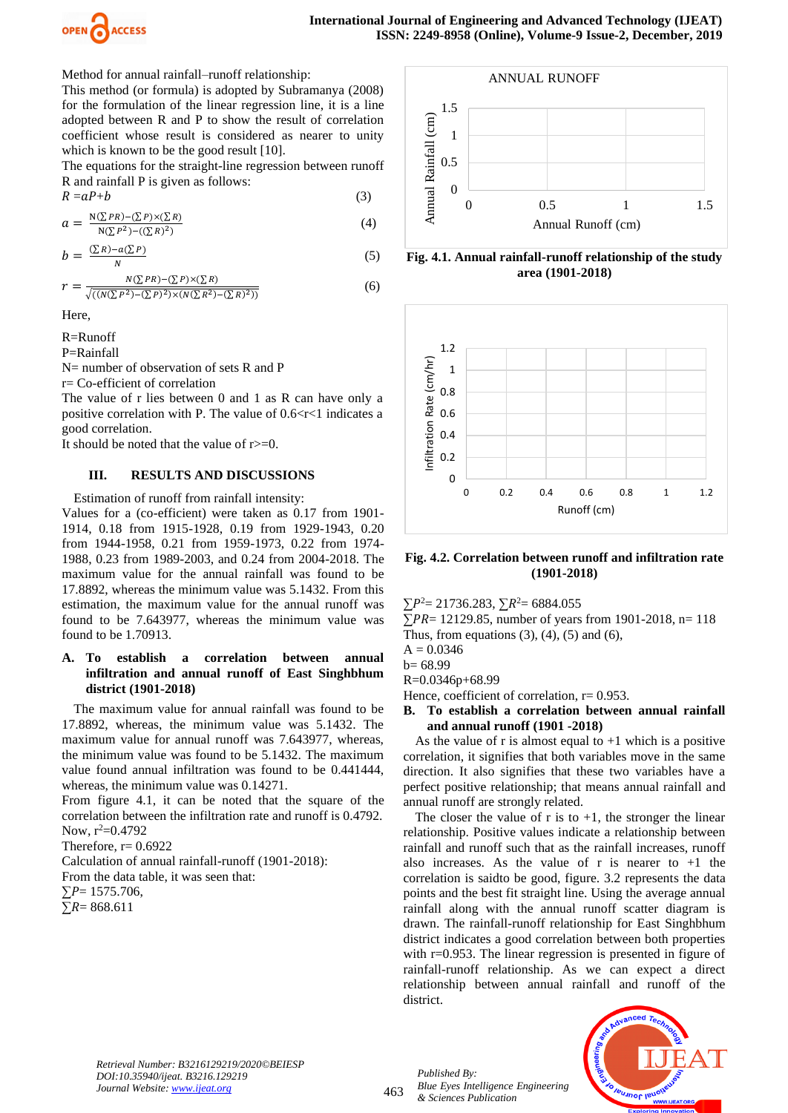

Method for annual rainfall–runoff relationship:

This method (or formula) is adopted by Subramanya (2008) for the formulation of the linear regression line, it is a line adopted between R and P to show the result of correlation coefficient whose result is considered as nearer to unity which is known to be the good result [10].

The equations for the straight-line regression between runoff R and rainfall P is given as follows:

$$
R = aP + b \tag{3}
$$

$$
a = \frac{N(\sum PR) - (\sum P) \times (\sum R)}{N(\sum P^2) - ((\sum R)^2)}
$$
(4)

$$
b = \frac{(\sum R) - a(\sum P)}{N} \tag{5}
$$

$$
r = \frac{N(\sum PR) - (\sum P) \times (\sum R)}{\sqrt{((N(\sum P^2) - (\sum P)^2) \times (N(\sum R^2) - (\sum R)^2))}}
$$
(6)

Here,

R=Runoff

P=Rainfall

N= number of observation of sets R and P

r= Co-efficient of correlation

The value of r lies between 0 and 1 as R can have only a positive correlation with P. The value of  $0.6 < r < 1$  indicates a good correlation.

It should be noted that the value of r>=0.

## **III. RESULTS AND DISCUSSIONS**

Estimation of runoff from rainfall intensity:

Values for a (co-efficient) were taken as 0.17 from 1901- 1914, 0.18 from 1915-1928, 0.19 from 1929-1943, 0.20 from 1944-1958, 0.21 from 1959-1973, 0.22 from 1974- 1988, 0.23 from 1989-2003, and 0.24 from 2004-2018. The maximum value for the annual rainfall was found to be 17.8892, whereas the minimum value was 5.1432. From this estimation, the maximum value for the annual runoff was found to be 7.643977, whereas the minimum value was found to be 1.70913.

## **A. To establish a correlation between annual infiltration and annual runoff of East Singhbhum district (1901-2018)**

The maximum value for annual rainfall was found to be 17.8892, whereas, the minimum value was 5.1432. The maximum value for annual runoff was 7.643977, whereas, the minimum value was found to be 5.1432. The maximum value found annual infiltration was found to be 0.441444, whereas, the minimum value was 0.14271.

From figure 4.1, it can be noted that the square of the correlation between the infiltration rate and runoff is 0.4792. Now,  $r^2=0.4792$ 

Therefore,  $r= 0.6922$ 

Calculation of annual rainfall-runoff (1901-2018):

From the data table, it was seen that:

 $\Sigma P = 1575.706$ ,

 $\sum R = 868.611$ 



**Fig. 4.1. Annual rainfall-runoff relationship of the study area (1901-2018)**



**Fig. 4.2. Correlation between runoff and infiltration rate (1901-2018)**

 $\Sigma P^2 = 21736.283$ ,  $\Sigma R^2 = 6884.055$ 

 $\sum PR = 12129.85$ , number of years from 1901-2018, n= 118

Thus, from equations  $(3)$ ,  $(4)$ ,  $(5)$  and  $(6)$ ,

 $A = 0.0346$ 

 $b= 68.99$ 

R=0.0346p+68.99

Hence, coefficient of correlation, r= 0.953.

**B. To establish a correlation between annual rainfall and annual runoff (1901 -2018)**

As the value of r is almost equal to  $+1$  which is a positive correlation, it signifies that both variables move in the same direction. It also signifies that these two variables have a perfect positive relationship; that means annual rainfall and annual runoff are strongly related.

The closer the value of r is to  $+1$ , the stronger the linear relationship. Positive values indicate a relationship between rainfall and runoff such that as the rainfall increases, runoff also increases. As the value of r is nearer to  $+1$  the correlation is saidto be good, figure. 3.2 represents the data points and the best fit straight line. Using the average annual rainfall along with the annual runoff scatter diagram is drawn. The rainfall-runoff relationship for East Singhbhum district indicates a good correlation between both properties with r=0.953. The linear regression is presented in figure of rainfall-runoff relationship. As we can expect a direct relationship between annual rainfall and runoff of the district.



*Retrieval Number: B3216129219/2020©BEIESP DOI:10.35940/ijeat. B3216.129219 Journal Website[: www.ijeat.org](http://www.ijeat.org/)*

463

*Published By: Blue Eyes Intelligence Engineering & Sciences Publication*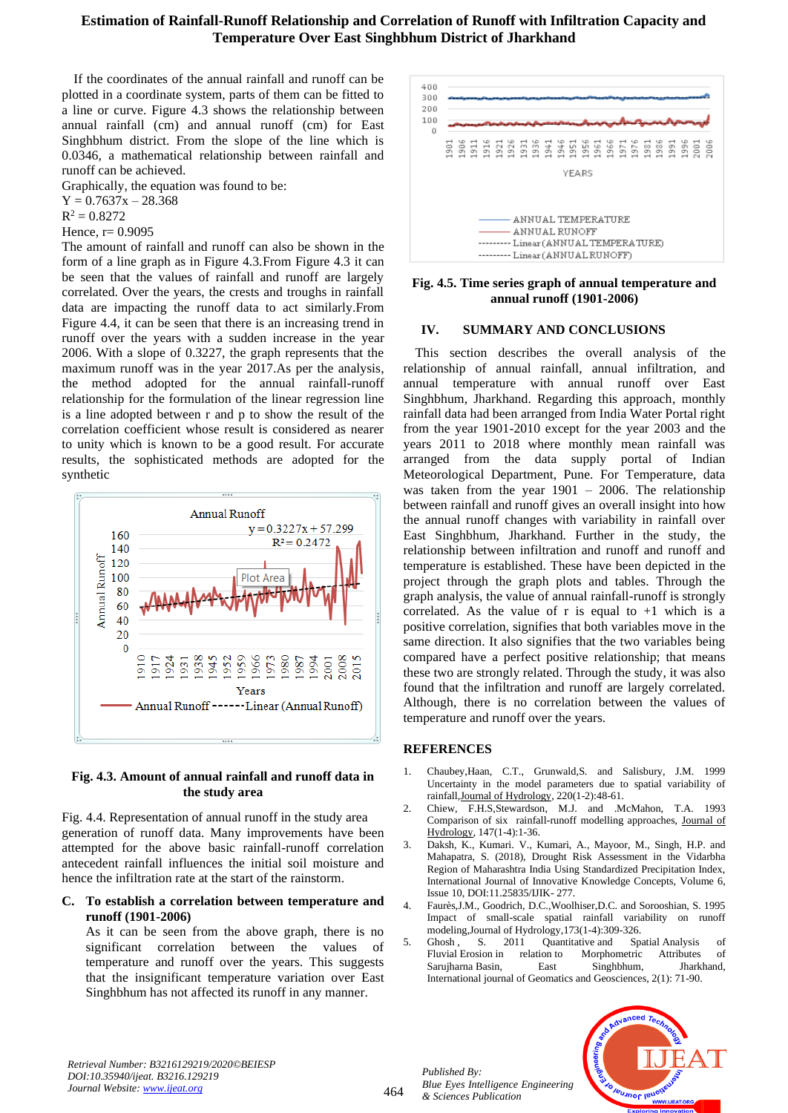## **Estimation of Rainfall-Runoff Relationship and Correlation of Runoff with Infiltration Capacity and Temperature Over East Singhbhum District of Jharkhand**

If the coordinates of the annual rainfall and runoff can be plotted in a coordinate system, parts of them can be fitted to a line or curve. Figure 4.3 shows the relationship between annual rainfall (cm) and annual runoff (cm) for East Singhbhum district. From the slope of the line which is 0.0346, a mathematical relationship between rainfall and runoff can be achieved.

Graphically, the equation was found to be:  $Y = 0.7637x - 28.368$ 

 $R^2 = 0.8272$ 

Hence,  $r = 0.9095$ 

The amount of rainfall and runoff can also be shown in the form of a line graph as in Figure 4.3.From Figure 4.3 it can be seen that the values of rainfall and runoff are largely correlated. Over the years, the crests and troughs in rainfall data are impacting the runoff data to act similarly.From Figure 4.4, it can be seen that there is an increasing trend in runoff over the years with a sudden increase in the year 2006. With a slope of 0.3227, the graph represents that the maximum runoff was in the year 2017.As per the analysis, the method adopted for the annual rainfall-runoff relationship for the formulation of the linear regression line is a line adopted between r and p to show the result of the correlation coefficient whose result is considered as nearer to unity which is known to be a good result. For accurate results, the sophisticated methods are adopted for the synthetic



## **Fig. 4.3. Amount of annual rainfall and runoff data in the study area**

Fig. 4.4. Representation of annual runoff in the study area generation of runoff data. Many improvements have been attempted for the above basic rainfall-runoff correlation antecedent rainfall influences the initial soil moisture and hence the infiltration rate at the start of the rainstorm.

## **C. To establish a correlation between temperature and runoff (1901-2006)**

As it can be seen from the above graph, there is no significant correlation between the values of temperature and runoff over the years. This suggests that the insignificant temperature variation over East Singhbhum has not affected its runoff in any manner.



## **Fig. 4.5. Time series graph of annual temperature and annual runoff (1901-2006)**

## **IV. SUMMARY AND CONCLUSIONS**

This section describes the overall analysis of the relationship of annual rainfall, annual infiltration, and annual temperature with annual runoff over East Singhbhum, Jharkhand. Regarding this approach, monthly rainfall data had been arranged from India Water Portal right from the year 1901-2010 except for the year 2003 and the years 2011 to 2018 where monthly mean rainfall was arranged from the data supply portal of Indian Meteorological Department, Pune. For Temperature, data was taken from the year 1901 – 2006. The relationship between rainfall and runoff gives an overall insight into how the annual runoff changes with variability in rainfall over East Singhbhum, Jharkhand. Further in the study, the relationship between infiltration and runoff and runoff and temperature is established. These have been depicted in the project through the graph plots and tables. Through the graph analysis, the value of annual rainfall-runoff is strongly correlated. As the value of r is equal to  $+1$  which is a positive correlation, signifies that both variables move in the same direction. It also signifies that the two variables being compared have a perfect positive relationship; that means these two are strongly related. Through the study, it was also found that the infiltration and runoff are largely correlated. Although, there is no correlation between the values of temperature and runoff over the years.

## **REFERENCES**

- 1. Chaubey,Haan, C.T., Grunwald,S. and Salisbury, J.M. 1999 Uncertainty in the model parameters due to spatial variability of rainfal[l,Journal of Hydrology,](https://www.sciencedirect.com/science/journal/00221694) 220(1-2):48-61.
- 2. [Chiew,](https://www.sciencedirect.com/science/article/pii/002216949390073I#!) F.H.[S,Stewardson,](https://www.sciencedirect.com/science/article/pii/002216949390073I#!) M.J. and [.McMahon,](https://www.sciencedirect.com/science/article/pii/002216949390073I#!) T.A. 1993 Comparison of six rainfall-runoff modelling approaches, [Journal of](https://www.sciencedirect.com/science/journal/00221694)  [Hydrology,](https://www.sciencedirect.com/science/journal/00221694) 147(1-4):1-36.
- 3. Daksh, K., Kumari. V., Kumari, A., Mayoor, M., Singh, H.P. and Mahapatra, S. (2018), Drought Risk Assessment in the Vidarbha Region of Maharashtra India Using Standardized Precipitation Index, International Journal of Innovative Knowledge Concepts, Volume 6, Issue 10, DOI:11.25835/IJIK- 277.
- 4. Faurès,J.M., Goodrich, D.C.,Woolhiser,D.C. and Sorooshian, S. 1995 Impact of small-scale spatial rainfall variability on runoff modelin[g,Journal of Hydrology,](https://www.sciencedirect.com/science/journal/00221694)173(1-4):309-326.
- 5. Ghosh, S. 2011 Quantitative and Spatial Analysis of Fluvial Erosion in relation to Morphometric Attributes of Fluvial Erosion in relation to Morphometric Attributes of Sarujharna Basin, East Singhbhum, Jharkhand, International journal of Geomatics and Geosciences, 2(1): 71-90.

*Retrieval Number: B3216129219/2020©BEIESP DOI:10.35940/ijeat. B3216.129219 Journal Website[: www.ijeat.org](http://www.ijeat.org/)*

464

*Published By: Blue Eyes Intelligence Engineering & Sciences Publication* 

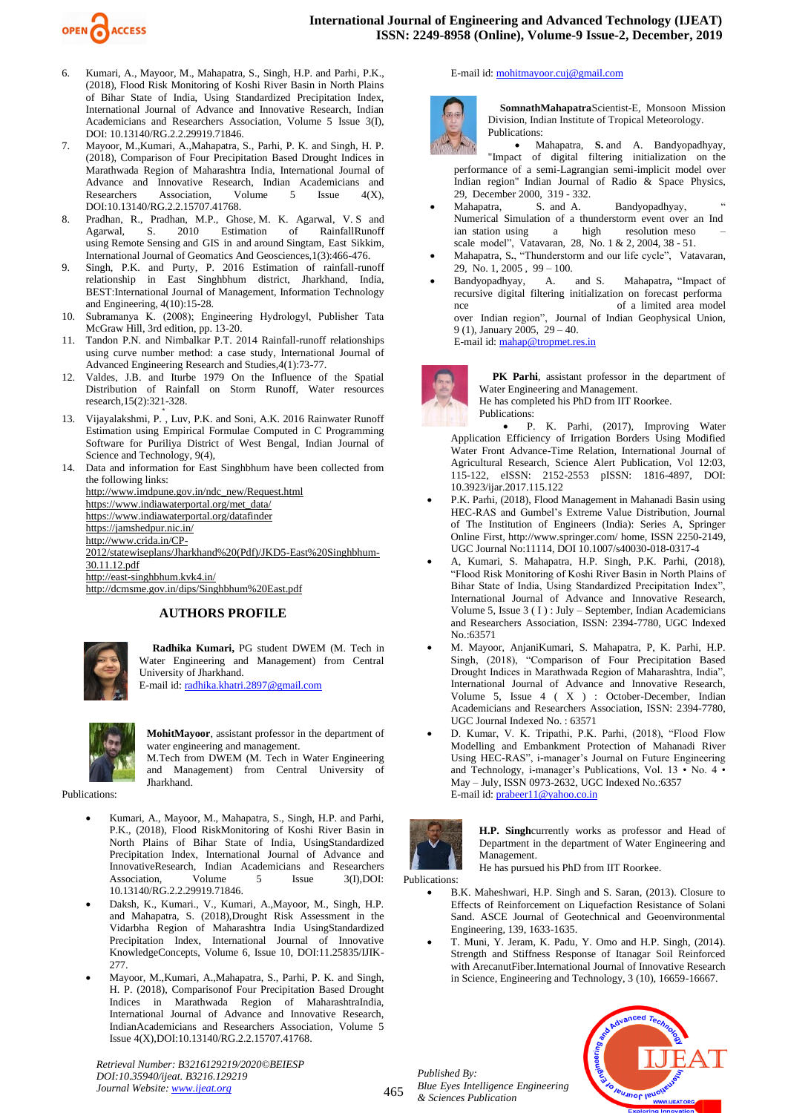

- 6. Kumari, A., Mayoor, M., Mahapatra, S., Singh, H.P. and Parhi, P.K., (2018), Flood Risk Monitoring of Koshi River Basin in North Plains of Bihar State of India, Using Standardized Precipitation Index, International Journal of Advance and Innovative Research, Indian Academicians and Researchers Association, Volume 5 Issue 3(I), DOI: 10.13140/RG.2.2.29919.71846.
- 7. Mayoor, M.,Kumari, A.,Mahapatra, S., Parhi, P. K. and Singh, H. P. (2018), Comparison of Four Precipitation Based Drought Indices in Marathwada Region of Maharashtra India, International Journal of Advance and Innovative Research, Indian Academicians and Researchers Association. Volume 5 Issue 4(X). Researchers Association, Volume 5 Issue 4(X), DOI:10.13140/RG.2.2.15707.41768.
- 8. Pradhan, R., Pradhan, M.P., Ghose, M. K. Agarwal, V. S and Agarwal, S. 2010 Estimation of RainfallRunoff using Remote Sensing and GIS in and around Singtam, East Sikkim, International Journal of Geomatics And Geosciences,1(3):466-476.
- 9. Singh, P.K. and Purty, P. 2016 Estimation of rainfall-runoff relationship in East Singhbhum district, Jharkhand, India, BEST:International Journal of Management, Information Technology and Engineering, 4(10):15-28.
- 10. Subramanya K. (2008); Engineering Hydrologyl, Publisher Tata McGraw Hill, 3rd edition, pp. 13-20.
- 11. Tandon P.N. and Nimbalkar P.T. 2014 Rainfall-runoff relationships using curve number method: a case study, International Journal of Advanced Engineering Research and Studies,4(1):73-77.
- 12. Valdes, J.B. and Iturbe 1979 On the Influence of the Spatial Distribution of Rainfall on Storm Runoff, Water resources research,15(2):321-328.
- 13. Vijayalakshmi, P., Luv, P.K. and Soni, A.K. 2016 Rainwater Runoff Estimation using Empirical Formulae Computed in C Programming Software for Puriliya District of West Bengal, Indian Journal of Science and Technology, 9(4),
- Data and information for East Singhbhum have been collected from the following links: [http://www.imdpune.gov.in/ndc\\_new/Request.html](http://www.imdpune.gov.in/ndc_new/Request.html) [https://www.indiawaterportal.org/met\\_data/](https://www.indiawaterportal.org/met_data/) <https://www.indiawaterportal.org/datafinder> <https://jamshedpur.nic.in/> [http://www.crida.in/CP-](http://www.crida.in/CP-2012/statewiseplans/Jharkhand%20(Pdf)/JKD5-East%20Singhbhum-30.11.12.pdf)[2012/statewiseplans/Jharkhand%20\(Pdf\)/JKD5-East%20Singhbhum-](http://www.crida.in/CP-2012/statewiseplans/Jharkhand%20(Pdf)/JKD5-East%20Singhbhum-30.11.12.pdf)[30.11.12.pdf](http://www.crida.in/CP-2012/statewiseplans/Jharkhand%20(Pdf)/JKD5-East%20Singhbhum-30.11.12.pdf) <http://east-singhbhum.kvk4.in/>

<http://dcmsme.gov.in/dips/Singhbhum%20East.pdf>

### **AUTHORS PROFILE**



**Radhika Kumari,** PG student DWEM (M. Tech in Water Engineering and Management) from Central University of Jharkhand. E-mail id[: radhika.khatri.2897@gmail.com](mailto:radhika.khatri.2897@gmail.com)



**MohitMayoor**, assistant professor in the department of water engineering and management.

M.Tech from DWEM (M. Tech in Water Engineering and Management) from Central University of Jharkhand.

Publications:

- Kumari, A., Mayoor, M., Mahapatra, S., Singh, H.P. and Parhi, P.K., (2018), Flood RiskMonitoring of Koshi River Basin in North Plains of Bihar State of India, UsingStandardized Precipitation Index, International Journal of Advance and InnovativeResearch, Indian Academicians and Researchers<br>Association, Volume 5 Issue 3(I),DOI: Association, Volume 5 Issue 3(I),DOI: 10.13140/RG.2.2.29919.71846.
- Daksh, K., Kumari., V., Kumari, A.,Mayoor, M., Singh, H.P. and Mahapatra, S. (2018),Drought Risk Assessment in the Vidarbha Region of Maharashtra India UsingStandardized Precipitation Index, International Journal of Innovative KnowledgeConcepts, Volume 6, Issue 10, DOI:11.25835/IJIK-277.
- Mayoor, M.,Kumari, A.,Mahapatra, S., Parhi, P. K. and Singh, H. P. (2018), Comparisonof Four Precipitation Based Drought Indices in Marathwada Region of MaharashtraIndia, International Journal of Advance and Innovative Research, IndianAcademicians and Researchers Association, Volume 5 Issue 4(X),DOI:10.13140/RG.2.2.15707.41768.

*Retrieval Number: B3216129219/2020©BEIESP DOI:10.35940/ijeat. B3216.129219 Journal Website[: www.ijeat.org](http://www.ijeat.org/)*

#### E-mail id[: mohitmayoor.cuj@gmail.com](mailto:mohitmayoor.cuj@gmail.com)



**SomnathMahapatra**Scientist-E, Monsoon Mission Division, Indian Institute of Tropical Meteorology. Publications:

• Mahapatra, **S.** and A. Bandyopadhyay, "Impact of digital filtering initialization on the performance of a semi-Lagrangian semi-implicit model over Indian region" Indian Journal of Radio & Space Physics, 29, December 2000, 319 - 332.

- Mahapatra, S. and A. Bandyopadhyay, Numerical Simulation of a thunderstorm event over an Ind ian station using a high resolution meso – scale model", Vatavaran, 28, No. 1 & 2, 2004, 38 - 51.
- Mahapatra, S**.**, "Thunderstorm and our life cycle", Vatavaran, 29, No. 1, 2005, 99 – 100.<br>Bandyopadhyay, A.
- A. and S. Mahapatra, "Impact of recursive digital filtering initialization on forecast performa nce of a limited area model over Indian region", Journal of Indian Geophysical Union, 9 (1), January 2005, 29 – 40. E-mail id[: mahap@tropmet.res.in](mailto:mahap@tropmet.res.in)



**PK Parhi**, assistant professor in the department of Water Engineering and Management.

He has completed his PhD from IIT Roorkee. Publications:

• P. K. Parhi, (2017), Improving Water Application Efficiency of Irrigation Borders Using Modified Water Front Advance-Time Relation, International Journal of Agricultural Research, Science Alert Publication, Vol 12:03, 115-122, eISSN: 2152-2553 pISSN: 1816-4897, DOI: 10.3923/ijar.2017.115.122

- P.K. Parhi, (2018), Flood Management in Mahanadi Basin using HEC-RAS and Gumbel's Extreme Value Distribution, Journal of The Institution of Engineers (India): Series A, Springer Online First, http://www.springer.com/ home, ISSN 2250-2149, UGC Journal No:11114, DOI 10.1007/s40030-018-0317-4
- A, Kumari, S. Mahapatra, H.P. Singh, P.K. Parhi, (2018), "Flood Risk Monitoring of Koshi River Basin in North Plains of Bihar State of India, Using Standardized Precipitation Index", International Journal of Advance and Innovative Research, Volume 5, Issue 3 ( I ) : July – September, Indian Academicians and Researchers Association, ISSN: 2394-7780, UGC Indexed No.:63571
- M. Mayoor, AnjaniKumari, S. Mahapatra, P, K. Parhi, H.P. Singh, (2018), "Comparison of Four Precipitation Based Drought Indices in Marathwada Region of Maharashtra, India", International Journal of Advance and Innovative Research, Volume 5, Issue 4 ( X ) : October-December, Indian Academicians and Researchers Association, ISSN: 2394-7780, UGC Journal Indexed No. : 63571
- D. Kumar, V. K. Tripathi, P.K. Parhi, (2018), "Flood Flow Modelling and Embankment Protection of Mahanadi River Using HEC-RAS", i-manager's Journal on Future Engineering and Technology, i-manager's Publications, Vol. 13 • No. 4 • May – July, ISSN 0973-2632, UGC Indexed No.:6357 E-mail id[: prabeer11@yahoo.co.in](mailto:prabeer11@yahoo.co.in)



**H.P. Singh**currently works as professor and Head of Department in the department of Water Engineering and Management. He has pursued his PhD from IIT Roorkee.

Publications:

465

- B.K. Maheshwari, H.P. Singh and S. Saran, (2013). Closure to Effects of Reinforcement on Liquefaction Resistance of Solani Sand. ASCE Journal of Geotechnical and Geoenvironmental Engineering, 139, 1633-1635.
- T. Muni, Y. Jeram, K. Padu, Y. Omo and H.P. Singh, (2014). Strength and Stiffness Response of Itanagar Soil Reinforced with ArecanutFiber.International Journal of Innovative Research in Science, Engineering and Technology, 3 (10), 16659-16667.



*Published By: Blue Eyes Intelligence Engineering & Sciences Publication*